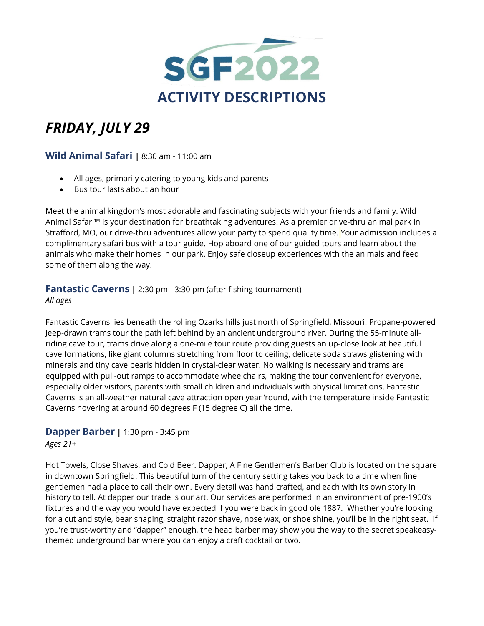

# *FRIDAY, JULY 29*

## **Wild Animal Safari |** 8:30 am - 11:00 am

- All ages, primarily catering to young kids and parents
- Bus tour lasts about an hour

Meet the animal kingdom's most adorable and fascinating subjects with your friends and family. Wild Animal Safari™ is your destination for breathtaking adventures. As a premier drive-thru animal park in Strafford, MO, our drive-thru adventures allow your party to spend quality time. Your admission includes a complimentary safari bus with a tour guide. Hop aboard one of our guided tours and learn about the animals who make their homes in our park. Enjoy safe closeup experiences with the animals and feed some of them along the way.

## **Fantastic Caverns** | 2:30 pm - 3:30 pm (after fishing tournament)

#### *All ages*

Fantastic Caverns lies beneath the rolling Ozarks hills just north of Springfield, Missouri. Propane-powered Jeep-drawn trams tour the path left behind by an ancient underground river. During the 55-minute allriding cave tour, trams drive along a one-mile tour route providing guests an up-close look at beautiful cave formations, like giant columns stretching from floor to ceiling, delicate soda straws glistening with minerals and tiny cave pearls hidden in crystal-clear water. No walking is necessary and trams are equipped with pull-out ramps to accommodate wheelchairs, making the tour convenient for everyone, especially older visitors, parents with small children and individuals with physical limitations. Fantastic Caverns is an [all-weather](https://fantasticcaverns.com/relief-from-the-hot-weather/) natural cave attraction open year 'round, with the temperature inside Fantastic Caverns hovering at around 60 degrees F (15 degree C) all the time.

## **Dapper Barber |** 1:30 pm - 3:45 pm

*Ages 21+*

Hot Towels, Close Shaves, and Cold Beer. Dapper, A Fine Gentlemen's Barber Club is located on the square in downtown Springfield. This beautiful turn of the century setting takes you back to a time when fine gentlemen had a place to call their own. Every detail was hand crafted, and each with its own story in history to tell. At dapper our trade is our art. Our services are performed in an environment of pre-1900's fixtures and the way you would have expected if you were back in good ole 1887. Whether you're looking for a cut and style, bear shaping, straight razor shave, nose wax, or shoe shine, you'll be in the right seat. If you're trust-worthy and "dapper" enough, the head barber may show you the way to the secret speakeasythemed underground bar where you can enjoy a craft cocktail or two.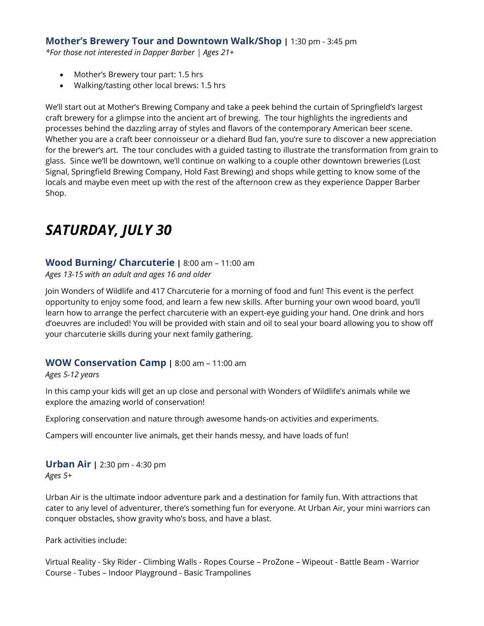## **Mother's Brewery Tour and Downtown Walk/Shop |** 1:30 pm - 3:45 pm

*\*For those not interested in Dapper Barber | Ages 21+*

- Mother's Brewery tour part: 1.5 hrs
- Walking/tasting other local brews: 1.5 hrs

We'll start out at Mother's Brewing Company and take a peek behind the curtain of Springfield's largest craft brewery for a glimpse into the ancient art of brewing. The tour highlights the ingredients and processes behind the dazzling array of styles and flavors of the contemporary American beer scene. Whether you are a craft beer connoisseur or a diehard Bud fan, you're sure to discover a new appreciation for the brewer's art. The tour concludes with a guided tasting to illustrate the transformation from grain to glass. Since we'll be downtown, we'll continue on walking to a couple other downtown breweries (Lost Signal, Springfield Brewing Company, Hold Fast Brewing) and shops while getting to know some of the locals and maybe even meet up with the rest of the afternoon crew as they experience Dapper Barber Shop.

# *SATURDAY, JULY 30*

## **Wood Burning/ Charcuterie |** 8:00 am – 11:00 am

*Ages 13-15 with an adult and ages 16 and older* 

Join Wonders of Wildlife and 417 Charcuterie for a morning of food and fun! This event is the perfect opportunity to enjoy some food, and learn a few new skills. After burning your own wood board, you'll learn how to arrange the perfect charcuterie with an expert-eye guiding your hand. One drink and hors d'oeuvres are included! You will be provided with stain and oil to seal your board allowing you to show off your charcuterie skills during your next family gathering.

#### **WOW Conservation Camp |** 8:00 am – 11:00 am

#### *Ages 5-12 years*

In this camp your kids will get an up close and personal with Wonders of Wildlife's animals while we explore the amazing world of conservation!

Exploring conservation and nature through awesome hands-on activities and experiments.

Campers will encounter live animals, get their hands messy, and have loads of fun!

**Urban Air |** 2:30 pm - 4:30 pm *Ages 5+*

Urban Air is the ultimate indoor adventure park and a destination for family fun. With attractions that cater to any level of adventurer, there's something fun for everyone. At Urban Air, your mini warriors can conquer obstacles, show gravity who's boss, and have a blast.

Park activities include:

Virtual Reality - Sky Rider - Climbing Walls - Ropes Course – ProZone – Wipeout - Battle Beam - Warrior Course - Tubes – Indoor Playground - Basic Trampolines